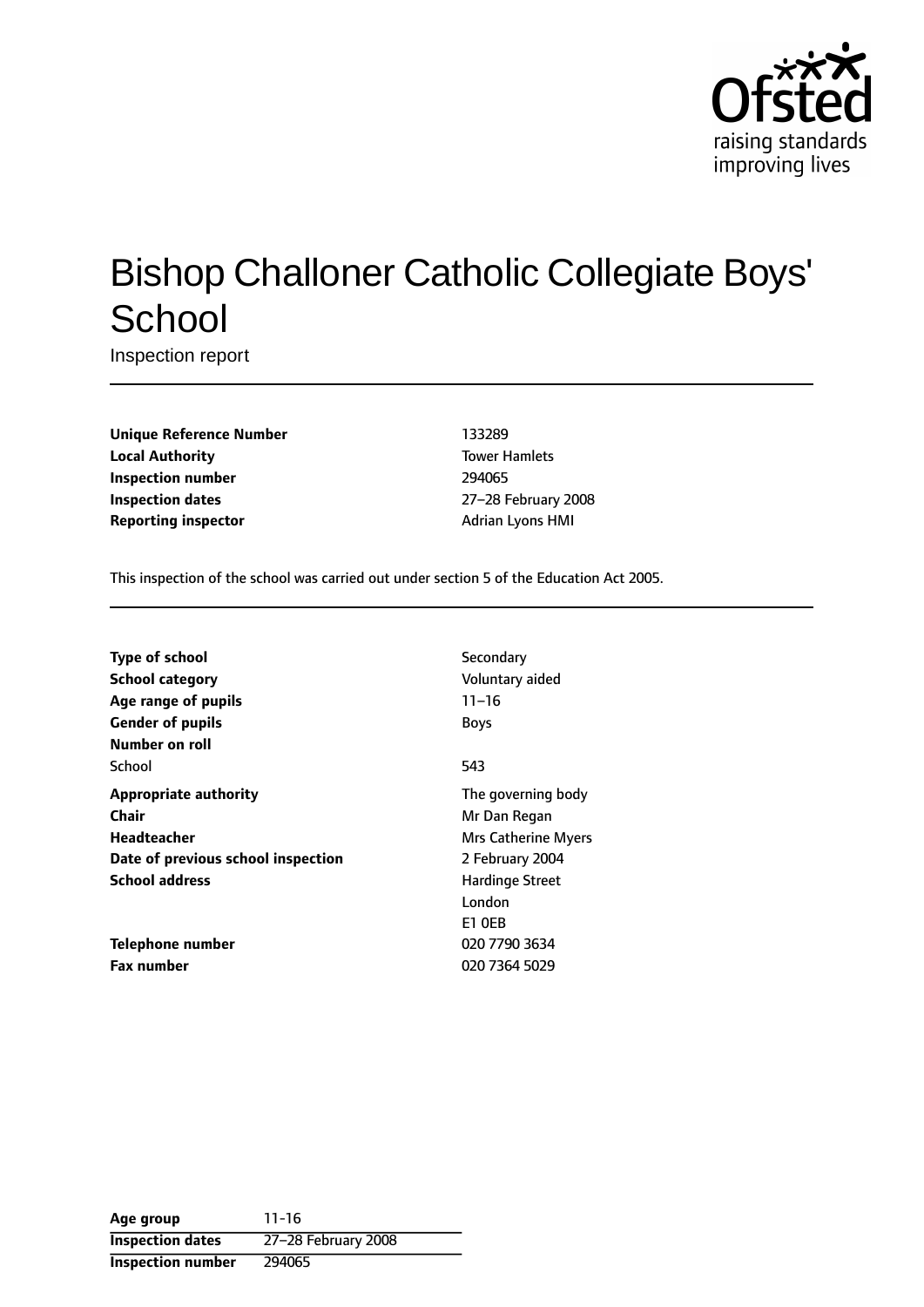

# Bishop Challoner Catholic Collegiate Boys' **School**

Inspection report

**Unique Reference Number** 133289 **Local Authority Tower Hamlets Inspection number** 294065 **Inspection dates** 27-28 February 2008 **Reporting inspector** Adrian Lyons HMI

This inspection of the school was carried out under section 5 of the Education Act 2005.

| <b>Type of school</b>              | Secondary           |
|------------------------------------|---------------------|
| School category                    | Voluntary aided     |
| Age range of pupils                | $11 - 16$           |
| <b>Gender of pupils</b>            | <b>Boys</b>         |
| Number on roll                     |                     |
| School                             | 543                 |
| <b>Appropriate authority</b>       | The governing body  |
| Chair                              | Mr Dan Regan        |
| <b>Headteacher</b>                 | Mrs Catherine Myers |
| Date of previous school inspection | 2 February 2004     |
| <b>School address</b>              | Hardinge Street     |
|                                    | London              |
|                                    | <b>E1 OEB</b>       |
| Telephone number                   | 020 7790 3634       |
| <b>Fax number</b>                  | 020 7364 5029       |

**Age group** 11-16 **Inspection dates** 27-28 February 2008 **Inspection number** 294065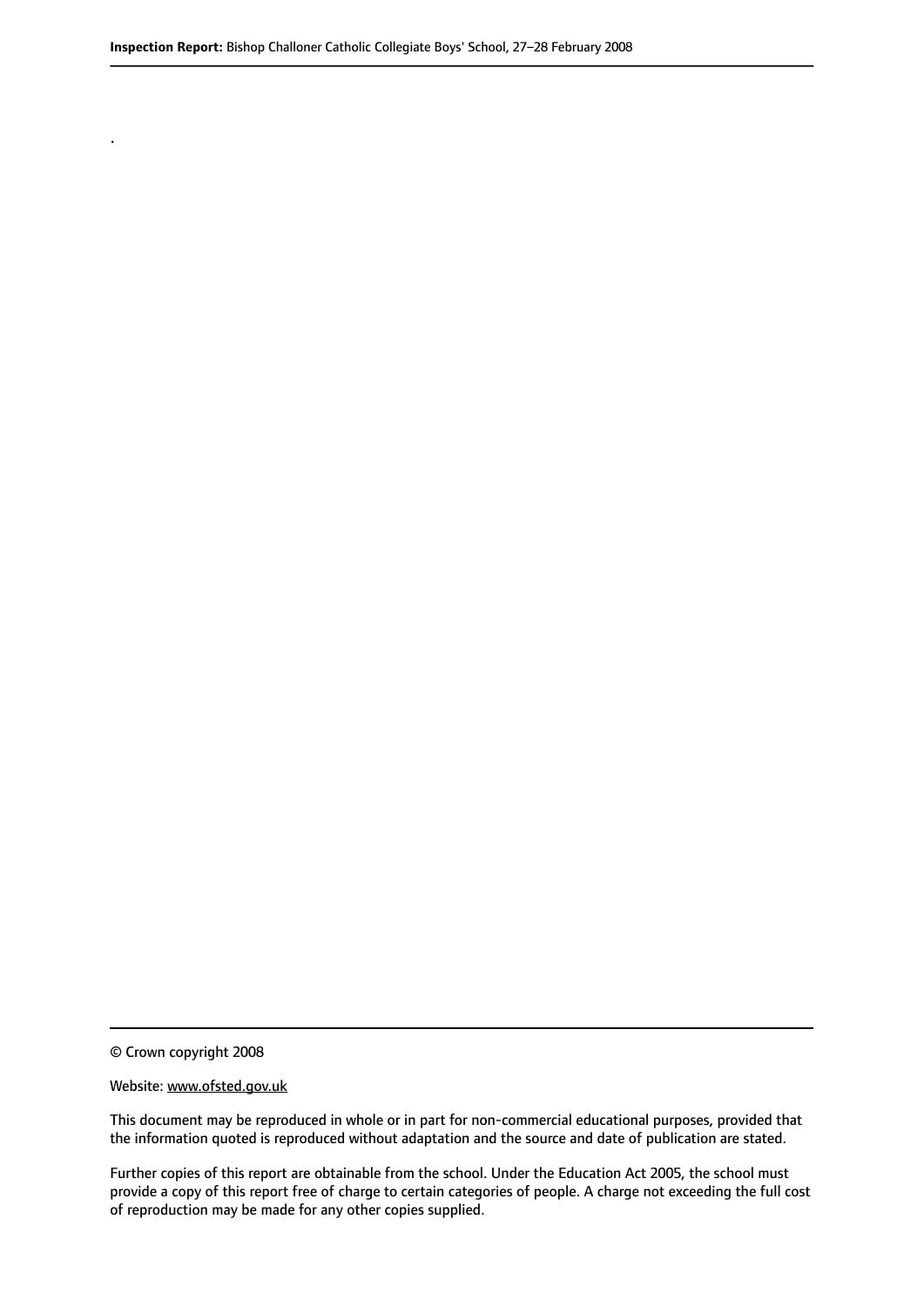© Crown copyright 2008

.

#### Website: www.ofsted.gov.uk

This document may be reproduced in whole or in part for non-commercial educational purposes, provided that the information quoted is reproduced without adaptation and the source and date of publication are stated.

Further copies of this report are obtainable from the school. Under the Education Act 2005, the school must provide a copy of this report free of charge to certain categories of people. A charge not exceeding the full cost of reproduction may be made for any other copies supplied.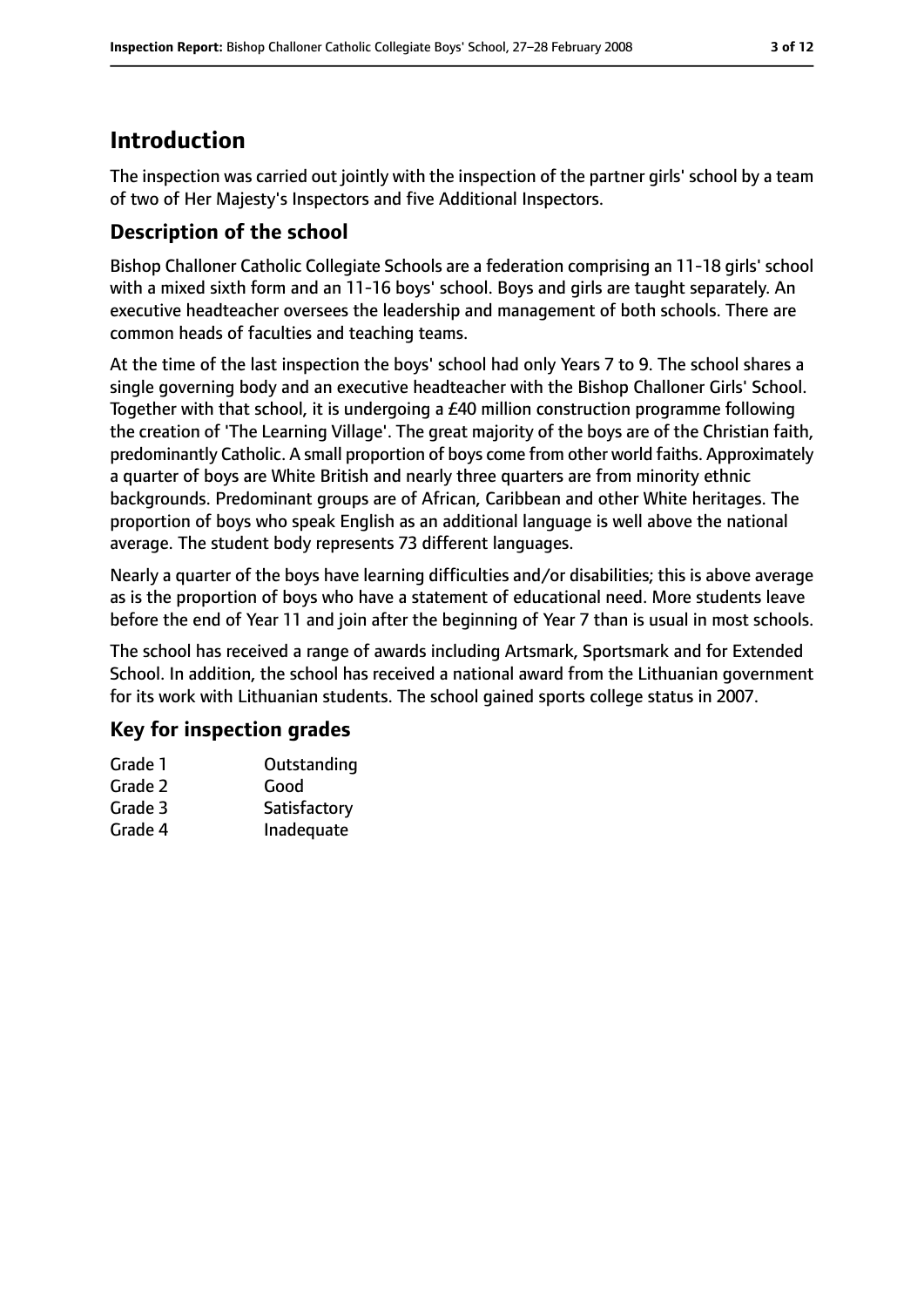# **Introduction**

The inspection was carried out jointly with the inspection of the partner girls' school by a team of two of Her Majesty's Inspectors and five Additional Inspectors.

# **Description of the school**

Bishop Challoner Catholic Collegiate Schools are a federation comprising an 11-18 girls' school with a mixed sixth form and an 11-16 boys' school. Boys and girls are taught separately. An executive headteacher oversees the leadership and management of both schools. There are common heads of faculties and teaching teams.

At the time of the last inspection the boys' school had only Years 7 to 9. The school shares a single governing body and an executive headteacher with the Bishop Challoner Girls' School. Together with that school, it is undergoing a £40 million construction programme following the creation of 'The Learning Village'. The great majority of the boys are of the Christian faith, predominantly Catholic. A small proportion of boys come from other world faiths. Approximately a quarter of boys are White British and nearly three quarters are from minority ethnic backgrounds. Predominant groups are of African, Caribbean and other White heritages. The proportion of boys who speak English as an additional language is well above the national average. The student body represents 73 different languages.

Nearly a quarter of the boys have learning difficulties and/or disabilities; this is above average as is the proportion of boys who have a statement of educational need. More students leave before the end of Year 11 and join after the beginning of Year 7 than is usual in most schools.

The school has received a range of awards including Artsmark, Sportsmark and for Extended School. In addition, the school has received a national award from the Lithuanian government for its work with Lithuanian students. The school gained sports college status in 2007.

## **Key for inspection grades**

| Grade 1 | Outstanding  |
|---------|--------------|
| Grade 2 | Good         |
| Grade 3 | Satisfactory |
| Grade 4 | Inadequate   |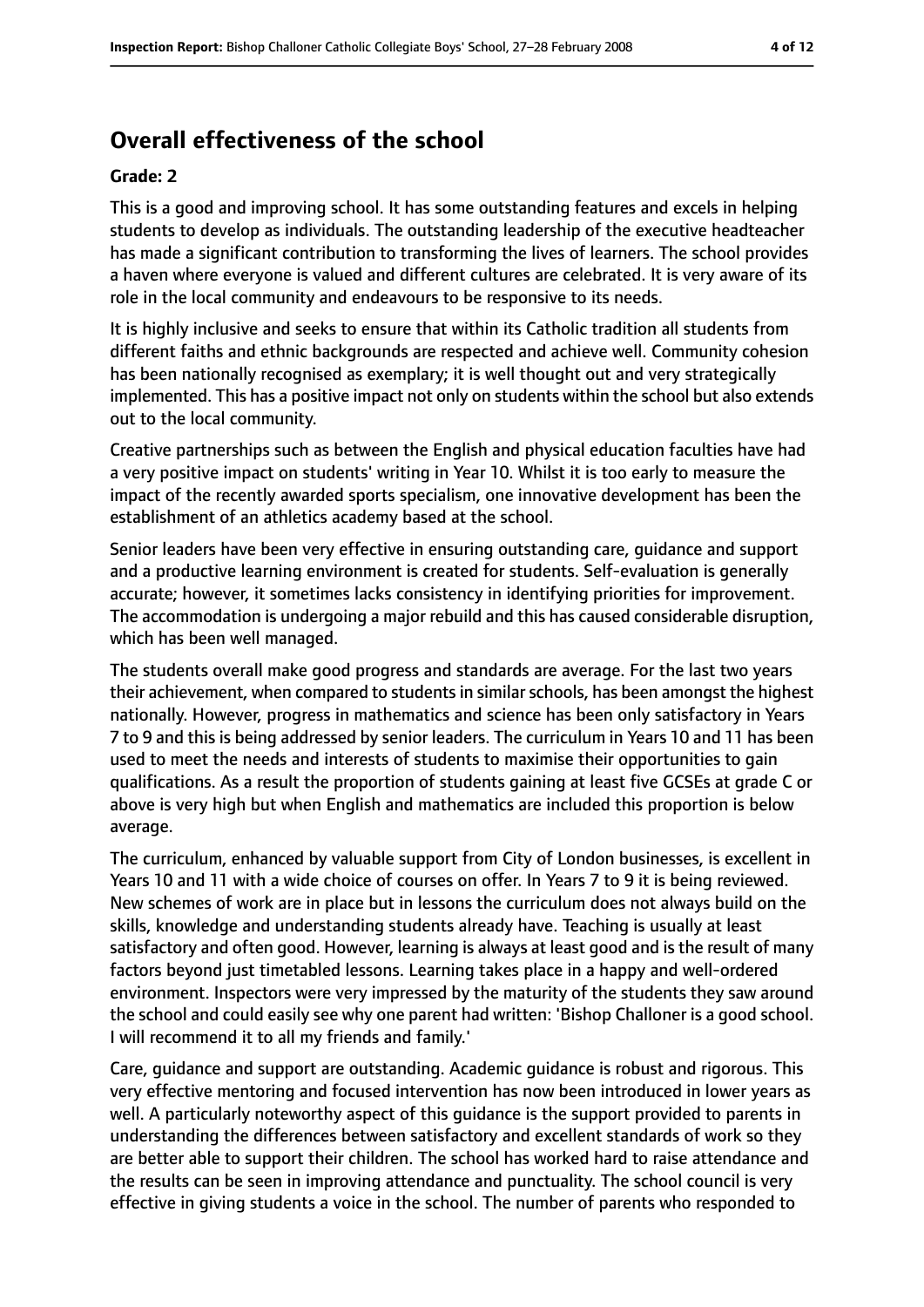# **Overall effectiveness of the school**

#### **Grade: 2**

This is a good and improving school. It has some outstanding features and excels in helping students to develop as individuals. The outstanding leadership of the executive headteacher has made a significant contribution to transforming the lives of learners. The school provides a haven where everyone is valued and different cultures are celebrated. It is very aware of its role in the local community and endeavours to be responsive to its needs.

It is highly inclusive and seeks to ensure that within its Catholic tradition all students from different faiths and ethnic backgrounds are respected and achieve well. Community cohesion has been nationally recognised as exemplary; it is well thought out and very strategically implemented. This has a positive impact not only on students within the school but also extends out to the local community.

Creative partnerships such as between the English and physical education faculties have had a very positive impact on students' writing in Year 10. Whilst it is too early to measure the impact of the recently awarded sports specialism, one innovative development has been the establishment of an athletics academy based at the school.

Senior leaders have been very effective in ensuring outstanding care, guidance and support and a productive learning environment is created for students. Self-evaluation is generally accurate; however, it sometimes lacks consistency in identifying priorities for improvement. The accommodation is undergoing a major rebuild and this has caused considerable disruption, which has been well managed.

The students overall make good progress and standards are average. For the last two years their achievement, when compared to studentsin similarschools, has been amongst the highest nationally. However, progress in mathematics and science has been only satisfactory in Years 7 to 9 and this is being addressed by senior leaders. The curriculum in Years 10 and 11 has been used to meet the needs and interests of students to maximise their opportunities to gain qualifications. As a result the proportion of students gaining at least five GCSEs at grade C or above is very high but when English and mathematics are included this proportion is below average.

The curriculum, enhanced by valuable support from City of London businesses, is excellent in Years 10 and 11 with a wide choice of courses on offer. In Years 7 to 9 it is being reviewed. New schemes of work are in place but in lessons the curriculum does not always build on the skills, knowledge and understanding students already have. Teaching is usually at least satisfactory and often good. However, learning is always at least good and is the result of many factors beyond just timetabled lessons. Learning takes place in a happy and well-ordered environment. Inspectors were very impressed by the maturity of the students they saw around the school and could easily see why one parent had written: 'Bishop Challoner is a good school. I will recommend it to all my friends and family.'

Care, guidance and support are outstanding. Academic guidance is robust and rigorous. This very effective mentoring and focused intervention has now been introduced in lower years as well. A particularly noteworthy aspect of this guidance is the support provided to parents in understanding the differences between satisfactory and excellent standards of work so they are better able to support their children. The school has worked hard to raise attendance and the results can be seen in improving attendance and punctuality. The school council is very effective in giving students a voice in the school. The number of parents who responded to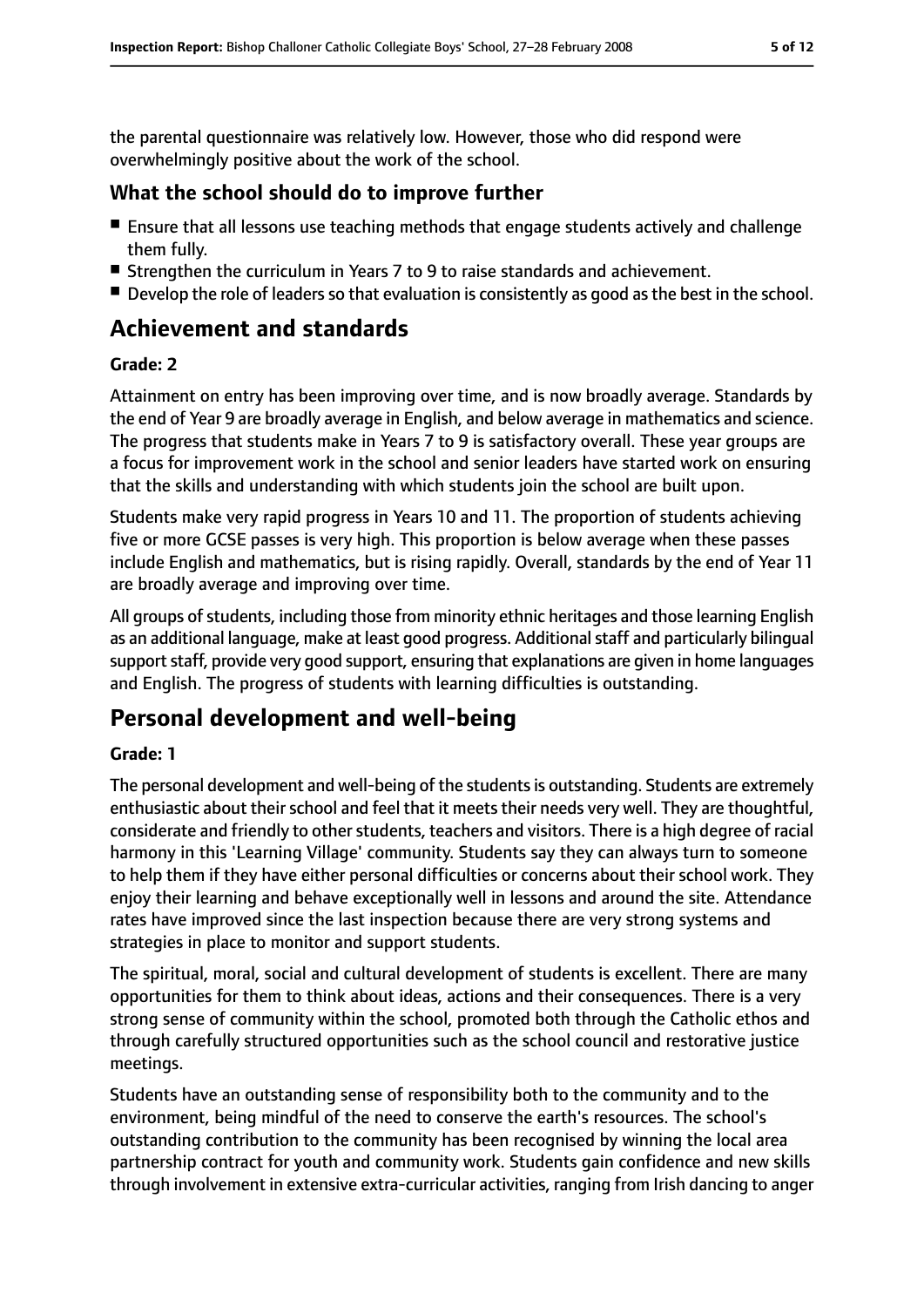the parental questionnaire was relatively low. However, those who did respond were overwhelmingly positive about the work of the school.

#### **What the school should do to improve further**

- Ensure that all lessons use teaching methods that engage students actively and challenge them fully.
- Strengthen the curriculum in Years 7 to 9 to raise standards and achievement.
- Develop the role of leaders so that evaluation is consistently as good as the best in the school.

# **Achievement and standards**

#### **Grade: 2**

Attainment on entry has been improving over time, and is now broadly average. Standards by the end of Year 9 are broadly average in English, and below average in mathematics and science. The progress that students make in Years 7 to 9 is satisfactory overall. These year groups are a focus for improvement work in the school and senior leaders have started work on ensuring that the skills and understanding with which students join the school are built upon.

Students make very rapid progress in Years 10 and 11. The proportion of students achieving five or more GCSE passes is very high. This proportion is below average when these passes include English and mathematics, but is rising rapidly. Overall, standards by the end of Year 11 are broadly average and improving over time.

All groups of students, including those from minority ethnic heritages and those learning English as an additional language, make at least good progress. Additional staff and particularly bilingual support staff, provide very good support, ensuring that explanations are given in home languages and English. The progress of students with learning difficulties is outstanding.

# **Personal development and well-being**

#### **Grade: 1**

The personal development and well-being of the studentsis outstanding. Students are extremely enthusiastic about their school and feel that it meets their needs very well. They are thoughtful, considerate and friendly to other students, teachers and visitors. There is a high degree of racial harmony in this 'Learning Village' community. Students say they can always turn to someone to help them if they have either personal difficulties or concerns about their school work. They enjoy their learning and behave exceptionally well in lessons and around the site. Attendance rates have improved since the last inspection because there are very strong systems and strategies in place to monitor and support students.

The spiritual, moral, social and cultural development of students is excellent. There are many opportunities for them to think about ideas, actions and their consequences. There is a very strong sense of community within the school, promoted both through the Catholic ethos and through carefully structured opportunities such as the school council and restorative justice meetings.

Students have an outstanding sense of responsibility both to the community and to the environment, being mindful of the need to conserve the earth's resources. The school's outstanding contribution to the community has been recognised by winning the local area partnership contract for youth and community work. Students gain confidence and new skills through involvement in extensive extra-curricular activities, ranging from Irish dancing to anger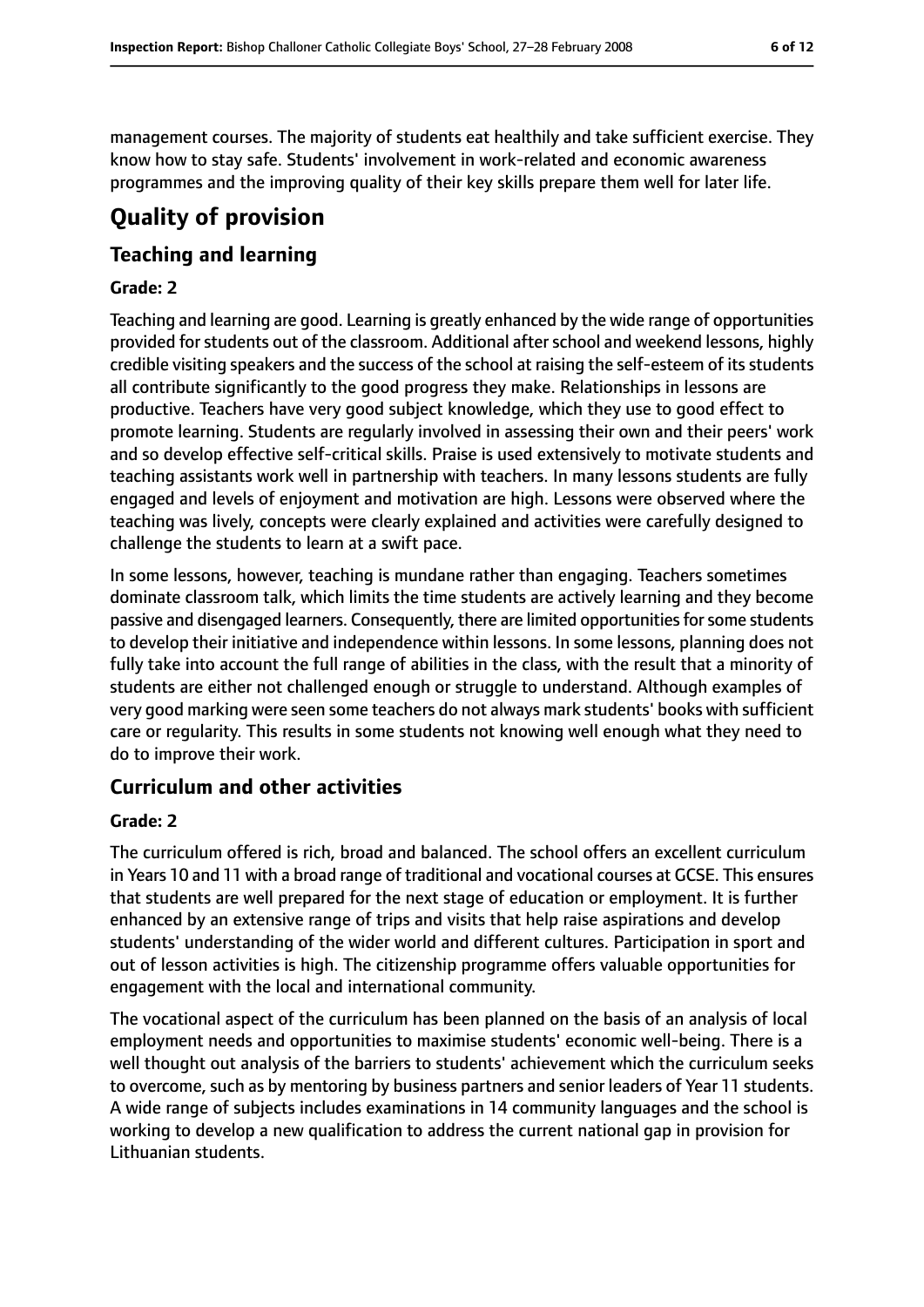management courses. The majority of students eat healthily and take sufficient exercise. They know how to stay safe. Students' involvement in work-related and economic awareness programmes and the improving quality of their key skills prepare them well for later life.

# **Quality of provision**

## **Teaching and learning**

#### **Grade: 2**

Teaching and learning are good. Learning is greatly enhanced by the wide range of opportunities provided for students out of the classroom. Additional after school and weekend lessons, highly credible visiting speakers and the success of the school at raising the self-esteem of its students all contribute significantly to the good progress they make. Relationships in lessons are productive. Teachers have very good subject knowledge, which they use to good effect to promote learning. Students are regularly involved in assessing their own and their peers' work and so develop effective self-critical skills. Praise is used extensively to motivate students and teaching assistants work well in partnership with teachers. In many lessons students are fully engaged and levels of enjoyment and motivation are high. Lessons were observed where the teaching was lively, concepts were clearly explained and activities were carefully designed to challenge the students to learn at a swift pace.

In some lessons, however, teaching is mundane rather than engaging. Teachers sometimes dominate classroom talk, which limits the time students are actively learning and they become passive and disengaged learners. Consequently, there are limited opportunitiesforsome students to develop their initiative and independence within lessons. In some lessons, planning does not fully take into account the full range of abilities in the class, with the result that a minority of students are either not challenged enough or struggle to understand. Although examples of very good marking were seen some teachers do not always mark students' books with sufficient care or regularity. This results in some students not knowing well enough what they need to do to improve their work.

## **Curriculum and other activities**

#### **Grade: 2**

The curriculum offered is rich, broad and balanced. The school offers an excellent curriculum in Years 10 and 11 with a broad range of traditional and vocational courses at GCSE. This ensures that students are well prepared for the next stage of education or employment. It is further enhanced by an extensive range of trips and visits that help raise aspirations and develop students' understanding of the wider world and different cultures. Participation in sport and out of lesson activities is high. The citizenship programme offers valuable opportunities for engagement with the local and international community.

The vocational aspect of the curriculum has been planned on the basis of an analysis of local employment needs and opportunities to maximise students' economic well-being. There is a well thought out analysis of the barriers to students' achievement which the curriculum seeks to overcome, such as by mentoring by business partners and senior leaders of Year 11 students. A wide range of subjects includes examinations in 14 community languages and the school is working to develop a new qualification to address the current national gap in provision for Lithuanian students.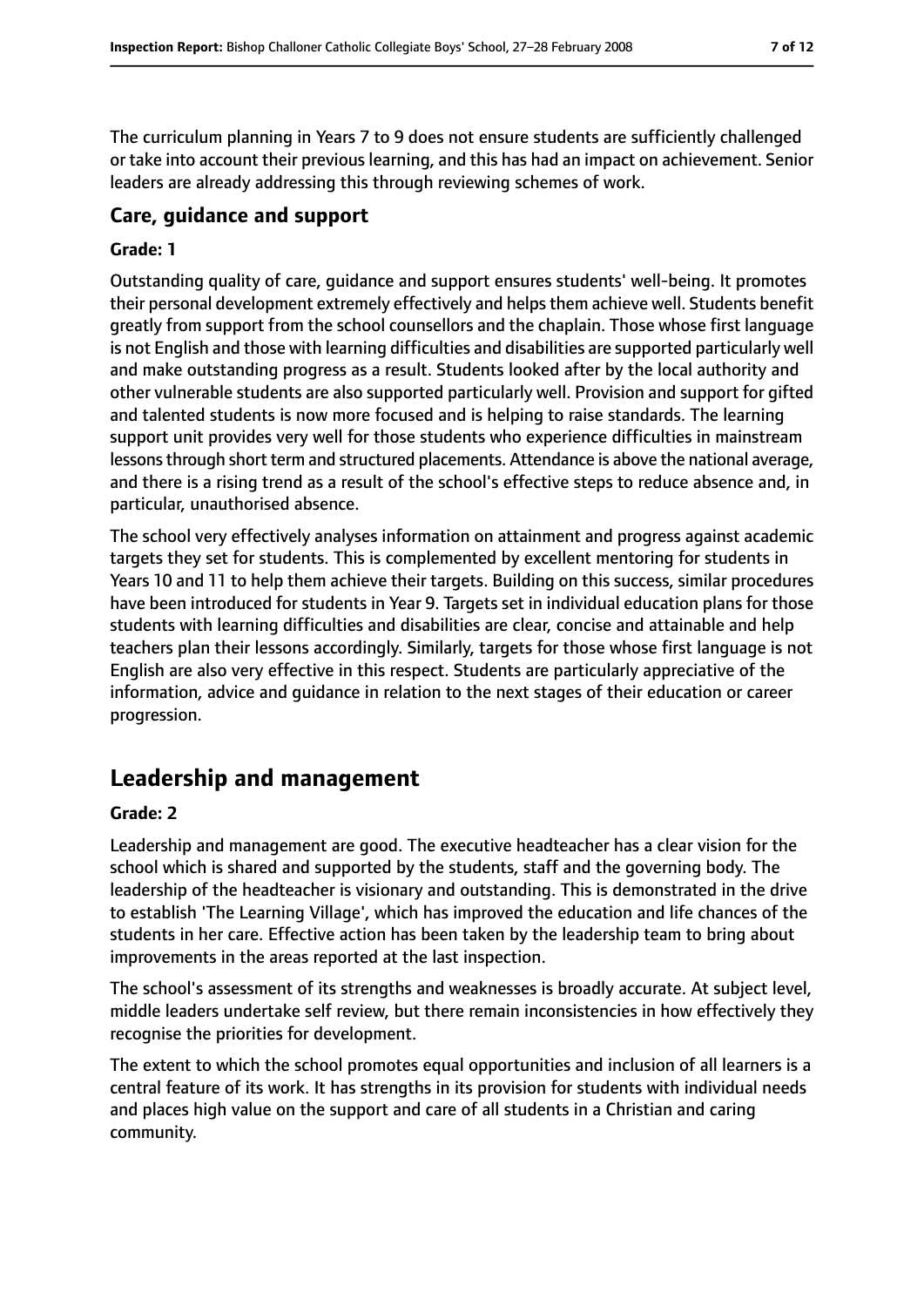The curriculum planning in Years 7 to 9 does not ensure students are sufficiently challenged or take into account their previous learning, and this has had an impact on achievement. Senior leaders are already addressing this through reviewing schemes of work.

## **Care, guidance and support**

#### **Grade: 1**

Outstanding quality of care, guidance and support ensures students' well-being. It promotes their personal development extremely effectively and helps them achieve well. Students benefit greatly from support from the school counsellors and the chaplain. Those whose first language is not English and those with learning difficulties and disabilities are supported particularly well and make outstanding progress as a result. Students looked after by the local authority and other vulnerable students are also supported particularly well. Provision and support for gifted and talented students is now more focused and is helping to raise standards. The learning support unit provides very well for those students who experience difficulties in mainstream lessons through short term and structured placements. Attendance is above the national average, and there is a rising trend as a result of the school's effective steps to reduce absence and, in particular, unauthorised absence.

The school very effectively analyses information on attainment and progress against academic targets they set for students. This is complemented by excellent mentoring for students in Years 10 and 11 to help them achieve their targets. Building on this success, similar procedures have been introduced for students in Year 9. Targets set in individual education plans for those students with learning difficulties and disabilities are clear, concise and attainable and help teachers plan their lessons accordingly. Similarly, targets for those whose first language is not English are also very effective in this respect. Students are particularly appreciative of the information, advice and guidance in relation to the next stages of their education or career progression.

# **Leadership and management**

#### **Grade: 2**

Leadership and management are good. The executive headteacher has a clear vision for the school which is shared and supported by the students, staff and the governing body. The leadership of the headteacher is visionary and outstanding. This is demonstrated in the drive to establish 'The Learning Village', which has improved the education and life chances of the students in her care. Effective action has been taken by the leadership team to bring about improvements in the areas reported at the last inspection.

The school's assessment of its strengths and weaknesses is broadly accurate. At subject level, middle leaders undertake self review, but there remain inconsistencies in how effectively they recognise the priorities for development.

The extent to which the school promotes equal opportunities and inclusion of all learners is a central feature of its work. It has strengths in its provision for students with individual needs and places high value on the support and care of all students in a Christian and caring community.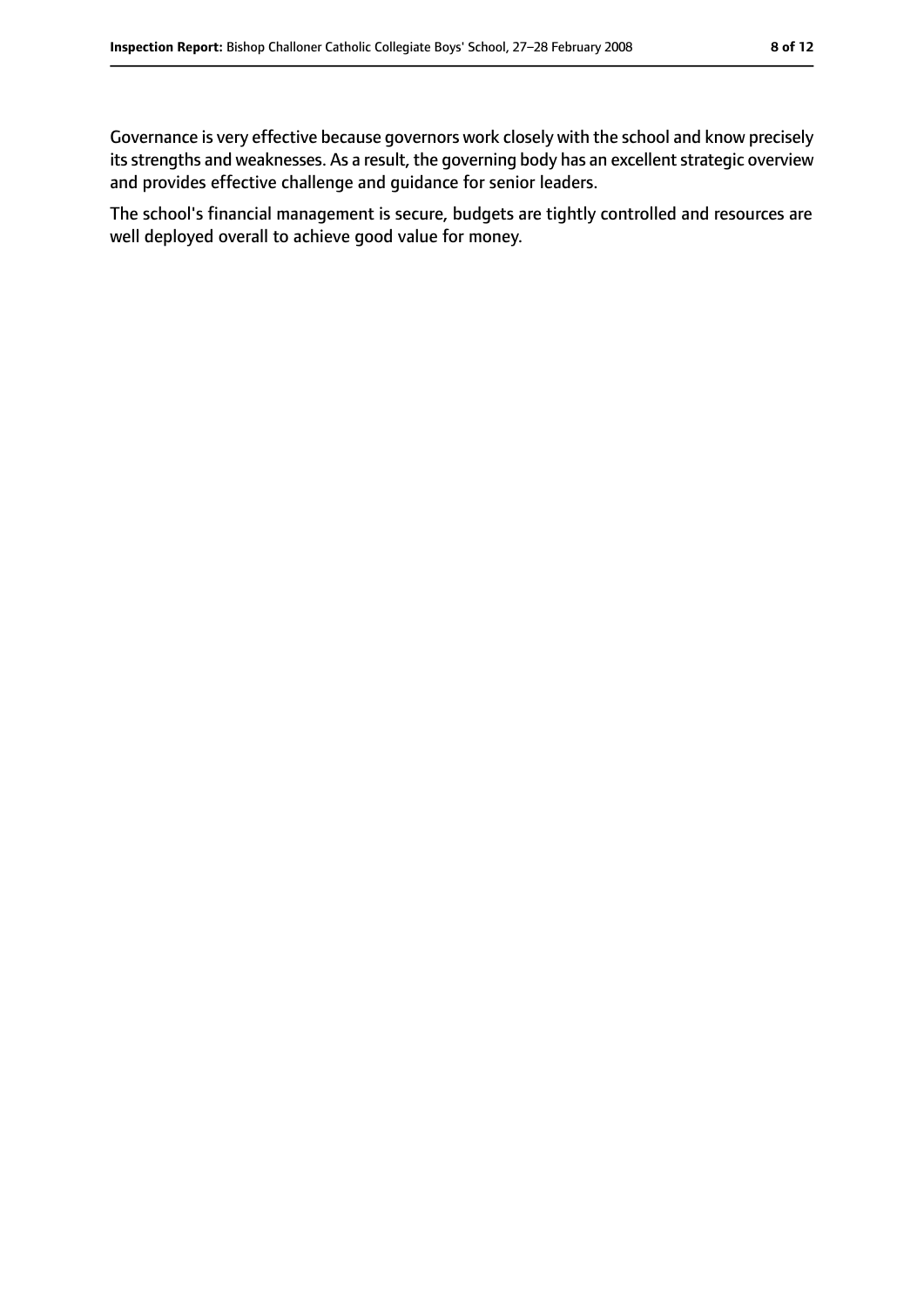Governance is very effective because governors work closely with the school and know precisely its strengths and weaknesses. As a result, the governing body has an excellent strategic overview and provides effective challenge and guidance for senior leaders.

The school's financial management is secure, budgets are tightly controlled and resources are well deployed overall to achieve good value for money.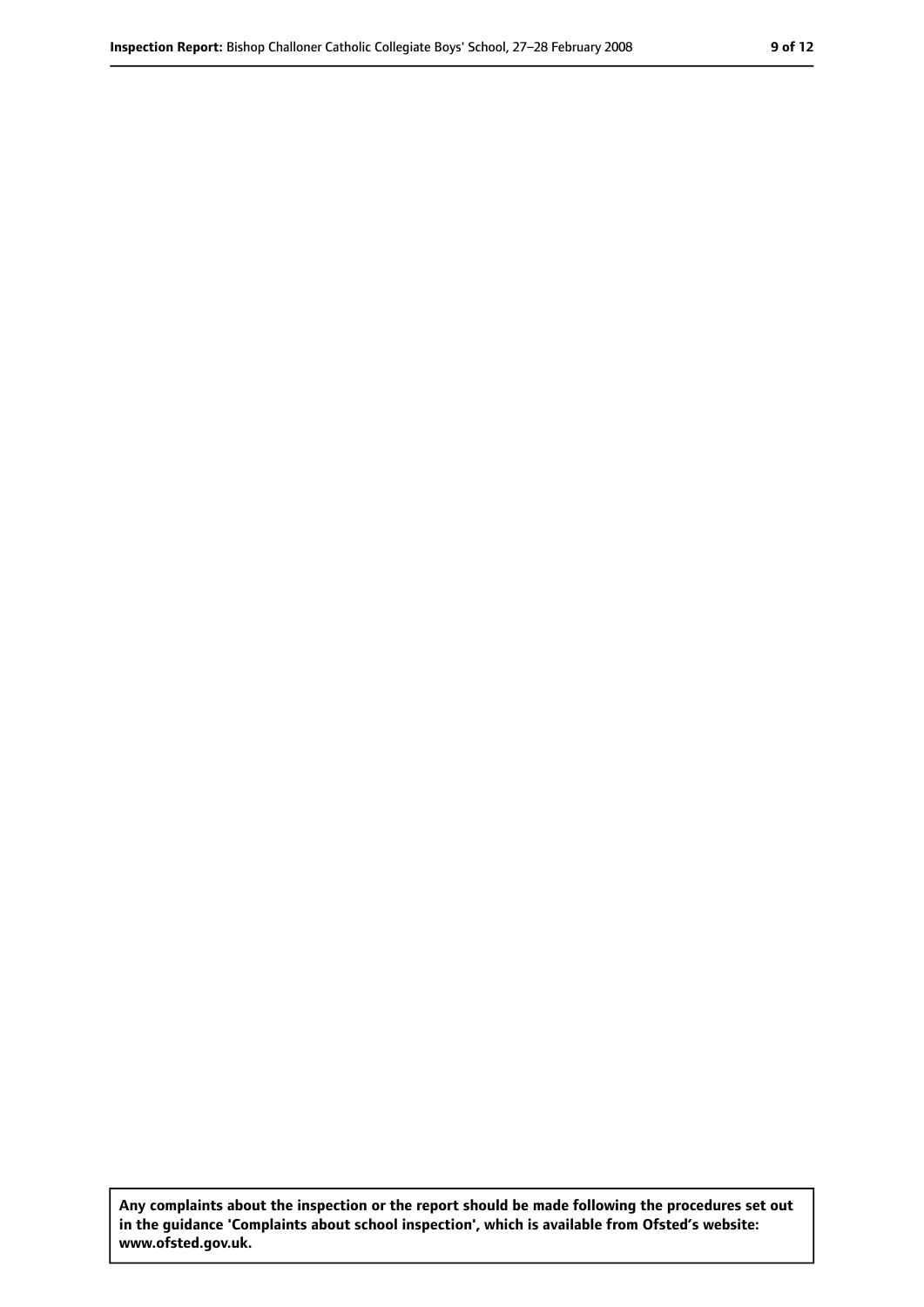**Any complaints about the inspection or the report should be made following the procedures set out in the guidance 'Complaints about school inspection', which is available from Ofsted's website: www.ofsted.gov.uk.**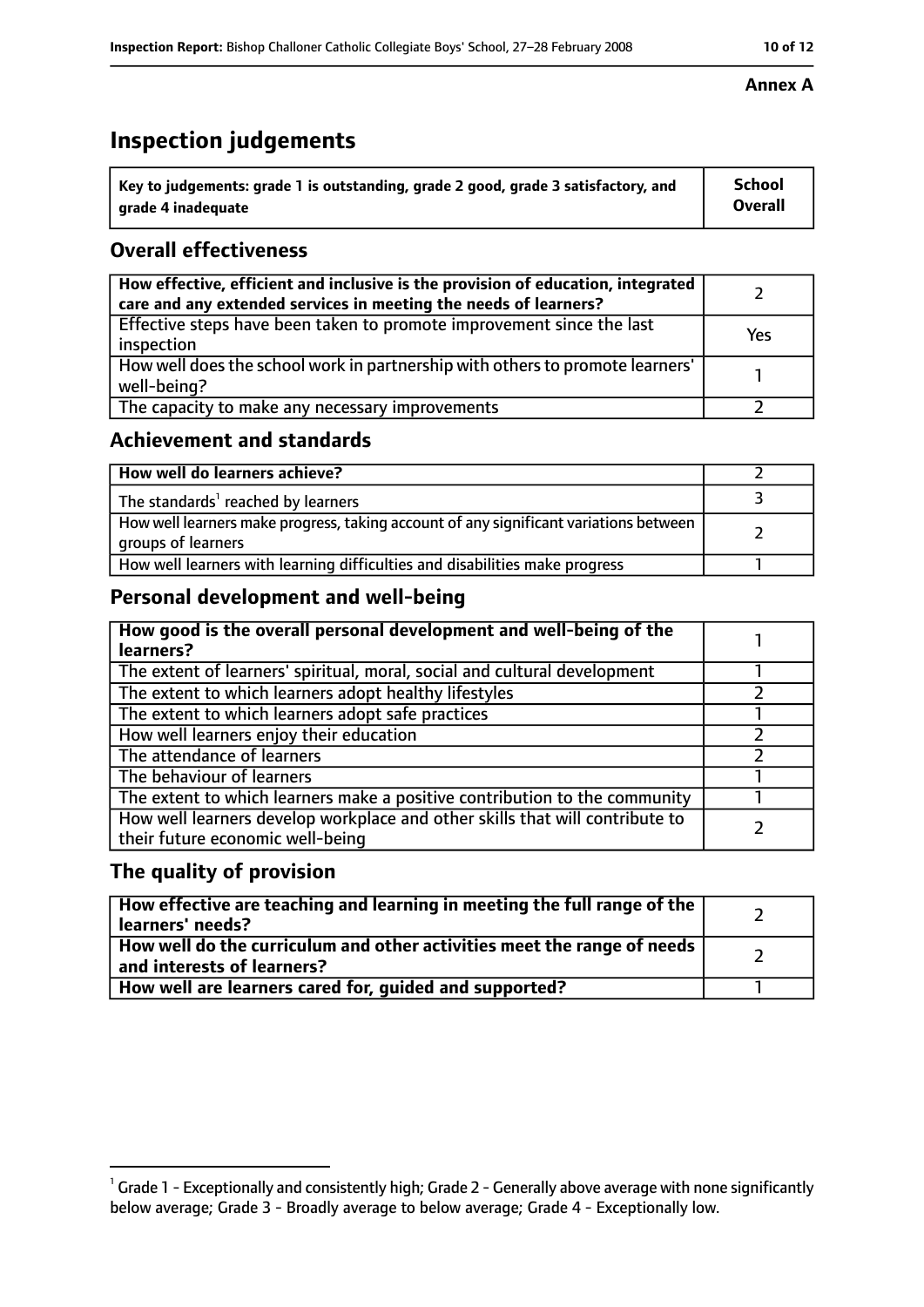# **Inspection judgements**

| $^{\backprime}$ Key to judgements: grade 1 is outstanding, grade 2 good, grade 3 satisfactory, and | <b>School</b>  |
|----------------------------------------------------------------------------------------------------|----------------|
| arade 4 inadeguate                                                                                 | <b>Overall</b> |

## **Overall effectiveness**

| How effective, efficient and inclusive is the provision of education, integrated<br>care and any extended services in meeting the needs of learners? |     |
|------------------------------------------------------------------------------------------------------------------------------------------------------|-----|
| Effective steps have been taken to promote improvement since the last<br>inspection                                                                  | Yes |
| How well does the school work in partnership with others to promote learners'<br>well-being?                                                         |     |
| The capacity to make any necessary improvements                                                                                                      |     |

## **Achievement and standards**

| How well do learners achieve?                                                                               |  |
|-------------------------------------------------------------------------------------------------------------|--|
| The standards <sup>1</sup> reached by learners                                                              |  |
| How well learners make progress, taking account of any significant variations between<br>groups of learners |  |
| How well learners with learning difficulties and disabilities make progress                                 |  |

# **Personal development and well-being**

| How good is the overall personal development and well-being of the<br>learners?                                  |  |
|------------------------------------------------------------------------------------------------------------------|--|
| The extent of learners' spiritual, moral, social and cultural development                                        |  |
| The extent to which learners adopt healthy lifestyles                                                            |  |
| The extent to which learners adopt safe practices                                                                |  |
| How well learners enjoy their education                                                                          |  |
| The attendance of learners                                                                                       |  |
| The behaviour of learners                                                                                        |  |
| The extent to which learners make a positive contribution to the community                                       |  |
| How well learners develop workplace and other skills that will contribute to<br>their future economic well-being |  |

## **The quality of provision**

| How effective are teaching and learning in meeting the full range of the<br>learners' needs?            |  |
|---------------------------------------------------------------------------------------------------------|--|
| How well do the curriculum and other activities meet the range of needs  <br>and interests of learners? |  |
| How well are learners cared for, guided and supported?                                                  |  |

#### **Annex A**

 $^1$  Grade 1 - Exceptionally and consistently high; Grade 2 - Generally above average with none significantly below average; Grade 3 - Broadly average to below average; Grade 4 - Exceptionally low.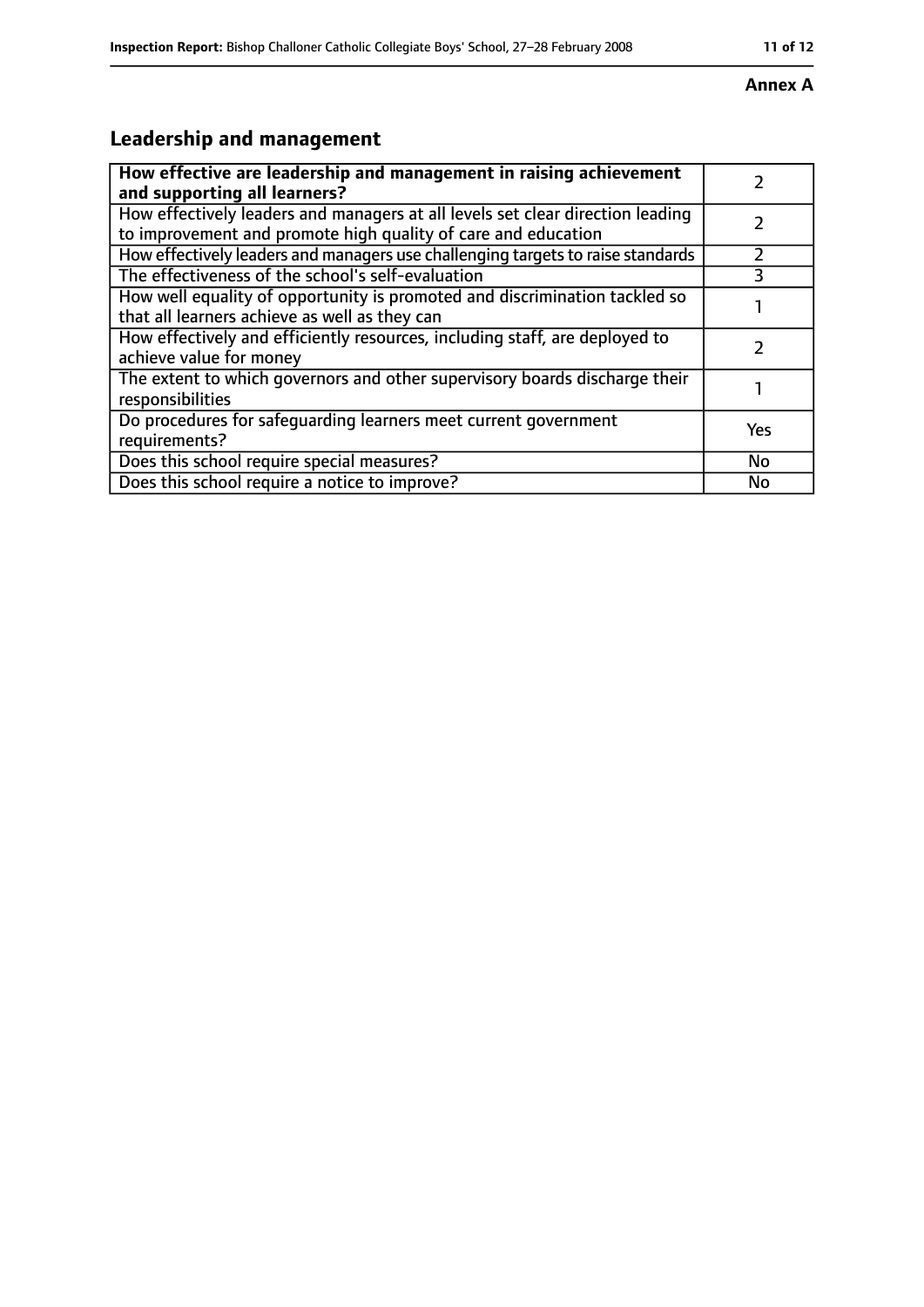#### **Annex A**

# **Leadership and management**

| How effective are leadership and management in raising achievement<br>and supporting all learners?                                              |           |
|-------------------------------------------------------------------------------------------------------------------------------------------------|-----------|
| How effectively leaders and managers at all levels set clear direction leading<br>to improvement and promote high quality of care and education |           |
| How effectively leaders and managers use challenging targets to raise standards                                                                 |           |
| The effectiveness of the school's self-evaluation                                                                                               |           |
| How well equality of opportunity is promoted and discrimination tackled so<br>that all learners achieve as well as they can                     |           |
| How effectively and efficiently resources, including staff, are deployed to<br>achieve value for money                                          |           |
| The extent to which governors and other supervisory boards discharge their<br>responsibilities                                                  |           |
| Do procedures for safequarding learners meet current government<br>requirements?                                                                | Yes       |
| Does this school require special measures?                                                                                                      | <b>No</b> |
| Does this school require a notice to improve?                                                                                                   | No        |